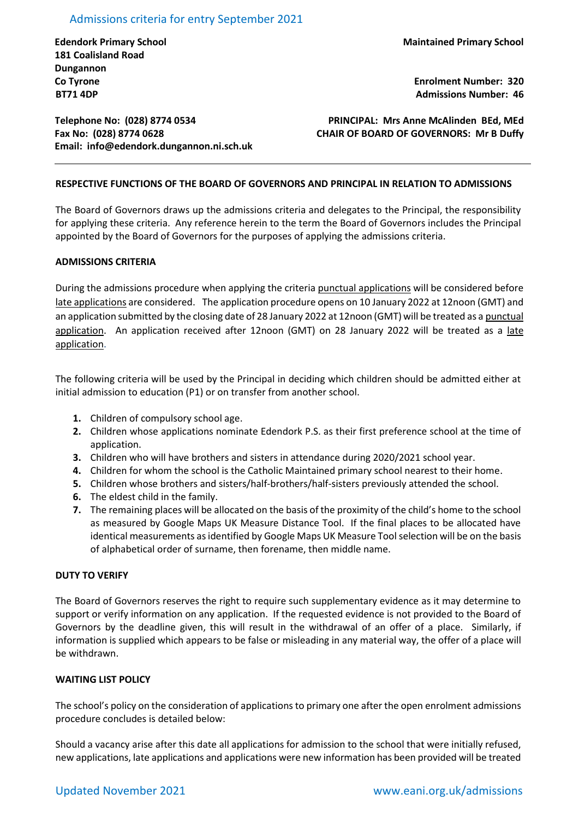## Admissions criteria for entry September 2021

**Edendork Primary School 181 Coalisland Road Dungannon Co Tyrone BT71 4DP**

**Enrolment Number: 320 Admissions Number: 46**

**Telephone No: (028) 8774 0534 Fax No: (028) 8774 0628 Email: [info@edendork.dungannon.ni.sch.uk](mailto:info@edendork.dungannon.ni.sch.uk)**

**PRINCIPAL: Mrs Anne McAlinden BEd, MEd CHAIR OF BOARD OF GOVERNORS: Mr B Duffy**

## **RESPECTIVE FUNCTIONS OF THE BOARD OF GOVERNORS AND PRINCIPAL IN RELATION TO ADMISSIONS**

The Board of Governors draws up the admissions criteria and delegates to the Principal, the responsibility for applying these criteria. Any reference herein to the term the Board of Governors includes the Principal appointed by the Board of Governors for the purposes of applying the admissions criteria.

#### **ADMISSIONS CRITERIA**

During the admissions procedure when applying the criteria punctual applications will be considered before late applications are considered. The application procedure opens on 10 January 2022 at 12noon (GMT) and an application submitted by the closing date of 28 January 2022 at 12noon (GMT) will be treated as a punctual application. An application received after 12noon (GMT) on 28 January 2022 will be treated as a late application.

The following criteria will be used by the Principal in deciding which children should be admitted either at initial admission to education (P1) or on transfer from another school.

- **1.** Children of compulsory school age.
- **2.** Children whose applications nominate Edendork P.S. as their first preference school at the time of application.
- **3.** Children who will have brothers and sisters in attendance during 2020/2021 school year.
- **4.** Children for whom the school is the Catholic Maintained primary school nearest to their home.
- **5.** Children whose brothers and sisters/half-brothers/half-sisters previously attended the school.
- **6.** The eldest child in the family.
- **7.** The remaining places will be allocated on the basis of the proximity of the child's home to the school as measured by Google Maps UK Measure Distance Tool. If the final places to be allocated have identical measurements as identified by Google Maps UK Measure Toolselection will be on the basis of alphabetical order of surname, then forename, then middle name.

#### **DUTY TO VERIFY**

The Board of Governors reserves the right to require such supplementary evidence as it may determine to support or verify information on any application. If the requested evidence is not provided to the Board of Governors by the deadline given, this will result in the withdrawal of an offer of a place. Similarly, if information is supplied which appears to be false or misleading in any material way, the offer of a place will be withdrawn.

### **WAITING LIST POLICY**

The school's policy on the consideration of applications to primary one after the open enrolment admissions procedure concludes is detailed below:

Should a vacancy arise after this date all applications for admission to the school that were initially refused, new applications, late applications and applications were new information has been provided will be treated